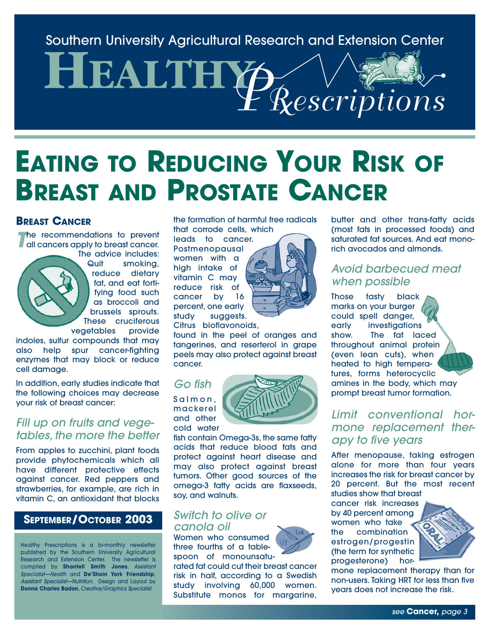Southern University Agricultural Research and Extension Center

# **HEALTHY** *PRescriptions*

## **EATING TO REDUCING YOUR RISK OF BREAST AND PROSTATE CANCER**

#### **BREAST CANCER**

**The recommendations to prevent all cancers apply to breast cancer.** 



The advice includes: Quit smoking, reduce dietary fat, and eat fortifying food such as broccoli and brussels sprouts. These cruciferous vegetables provide

indoles, sulfur compounds that may also help spur cancer-fighting enzymes that may block or reduce cell damage.

In addition, early studies indicate that the following choices may decrease your risk of breast cancer:

#### *Fill up on fruits and vegetables, the more the better*

From apples to zucchini, plant foods provide phytochemicals which all have different protective effects against cancer. Red peppers and strawberries, for example, are rich in vitamin C, an antioxidant that blocks

#### **SEPTEMBER/OCTOBER 2003**

Healthy Prescriptions is a bi-monthly newsletter published by the Southern University Agricultural Research and Extension Center. The newsletter is compiled by **Shantell Smith Jones**, *Assistant Specialist—Health* and **De'Shoin York Friendship**, *Assistant Specialist—Nutrition*. Design and Layout by **Donna Charles Badon**, *Creative/Graphics Specialist*.

the formation of harmful free radicals that corrode cells, which

leads to cancer. Postmenopausal women with a high intake of vitamin C may reduce risk of cancer by 16 percent, one early study suggests.



Citrus bioflavonoids,

found in the peel of oranges and tangerines, and reserterol in grape peels may also protect against breast cancer.

#### *Go fish*

Salmon, mackerel and other cold water



fish contain Omega-3s, the same fatty acids that reduce blood fats and protect against heart disease and may also protect against breast tumors. Other good sources of the omega-3 fatty acids are flaxseeds, soy, and walnuts.

#### *Switch to olive or canola oil*

Women who consumed three fourths of a tablespoon of monounsatu-

rated fat could cut their breast cancer risk in half, according to a Swedish study involving 60,000 women. Substitute monos for margarine,

butter and other trans-fatty acids (most fats in processed foods) and saturated fat sources. And eat monorich avocados and almonds.

#### *Avoid barbecued meat when possible*

Those tasty black marks on your burger could spell danger, early investigations show. The fat laced throughout animal protein (even lean cuts), when heated to high temperatures, forms heterocyclic amines in the body, which may prompt breast tumor formation.

#### *Limit conventional hormone replacement therapy to five years*

After menopause, taking estrogen alone for more than four years increases the risk for breast cancer by 20 percent. But the most recent studies show that breast

cancer risk increases by 40 percent among women who take the combination estrogen/progestin (the term for synthetic progesterone) hor-



mone replacement therapy than for non-users. Taking HRT for less than five years does not increase the risk.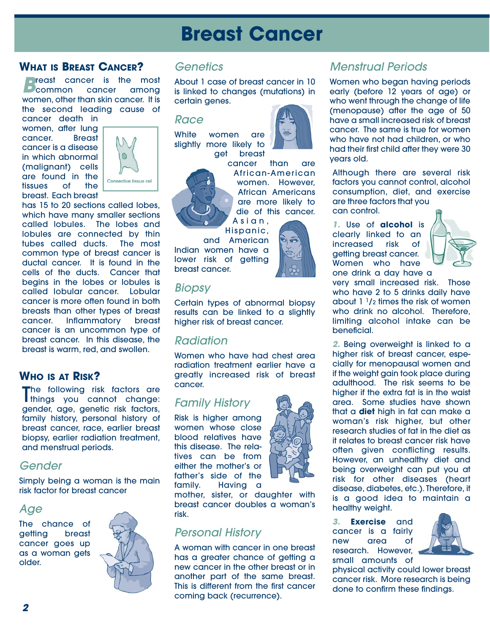## **Breast Cancer**

#### **WHAT IS BREAST CANCER?**

**Breast cancer is the most**<br>**Breast cancer among** women, other than skin cancer. It is the second leading cause of

cancer death in women, after lung cancer. Breast cancer is a disease in which abnormal (malignant) cells are found in the tissues of the breast. Each breast



has 15 to 20 sections called lobes, which have many smaller sections called lobules. The lobes and lobules are connected by thin tubes called ducts. The most common type of breast cancer is ductal cancer. It is found in the cells of the ducts. Cancer that begins in the lobes or lobules is called lobular cancer. Lobular cancer is more often found in both breasts than other types of breast cancer. Inflammatory breast cancer is an uncommon type of breast cancer. In this disease, the breast is warm, red, and swollen.

#### **WHO IS AT RISK?**

The following risk factors are<br>Things you cannot change: things you cannot change: gender, age, genetic risk factors, family history, personal history of breast cancer, race, earlier breast biopsy, earlier radiation treatment, and menstrual periods.

#### *Gender*

Simply being a woman is the main risk factor for breast cancer

#### *Age*

The chance of getting breast cancer goes up as a woman gets older.



#### *Genetics*

About 1 case of breast cancer in 10 is linked to changes (mutations) in certain genes.

#### *Race*

White women are slightly more likely to get breast cancer than are

African-American women. However, African Americans are more likely to die of this cancer. Asian,

Hispanic,

and American Indian women have a lower risk of getting breast cancer.

#### *Biopsy*

Certain types of abnormal biopsy results can be linked to a slightly higher risk of breast cancer.

#### *Radiation*

Women who have had chest area radiation treatment earlier have a greatly increased risk of breast cancer.

#### *Family History*

Risk is higher among women whose close blood relatives have this disease. The relatives can be from either the mother's or father's side of the family. Having a

mother, sister, or daughter with breast cancer doubles a woman's risk.

#### *Personal History*

A woman with cancer in one breast has a greater chance of getting a new cancer in the other breast or in another part of the same breast. This is different from the first cancer coming back (recurrence).

#### *Menstrual Periods*

Women who began having periods early (before 12 years of age) or who went through the change of life (menopause) after the age of 50 have a small increased risk of breast cancer. The same is true for women who have not had children, or who had their first child after they were 30 years old.

Although there are several risk factors you cannot control, alcohol consumption, diet, and exercise are three factors that you can control.

*1.* Use of **alcohol** is clearly linked to an increased risk of getting breast cancer. Women who have one drink a day have a



very small increased risk. Those who have 2 to 5 drinks daily have about  $1<sup>1</sup>/2$  times the risk of women who drink no alcohol. Therefore, limiting alcohol intake can be beneficial.

*2.* Being overweight is linked to a higher risk of breast cancer, especially for menopausal women and if the weight gain took place during adulthood. The risk seems to be higher if the extra fat is in the waist area. Some studies have shown that a **diet** high in fat can make a woman's risk higher, but other research studies of fat in the diet as it relates to breast cancer risk have often given conflicting results. However, an unhealthy diet and being overweight can put you at risk for other diseases (heart disease, diabetes, etc.). Therefore, it is a good idea to maintain a healthy weight.

*3.* **Exercise** and cancer is a fairly new area of research. However, small amounts of



physical activity could lower breast cancer risk. More research is being done to confirm these findings.



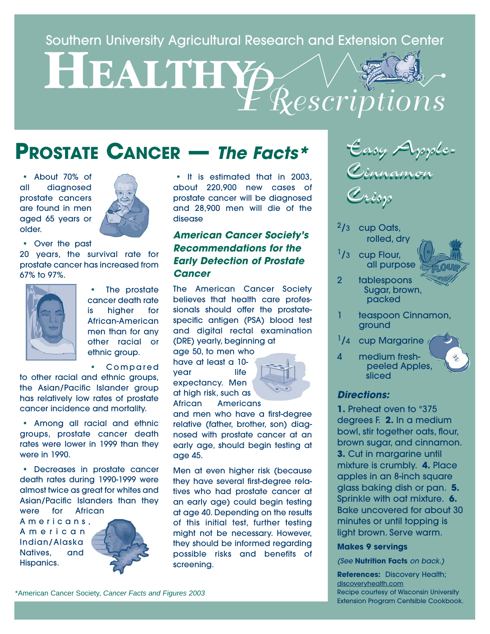#### Southern University Agricultural Research and Extension Center

# **HEALTHY** *PRescriptions*

## **PROSTATE CANCER —** *The Facts\**

• About 70% of all diagnosed prostate cancers are found in men aged 65 years or older.



• Over the past

20 years, the survival rate for prostate cancer has increased from 67% to 97%.



The prostate cancer death rate is higher for African-American men than for any other racial or ethnic group.

• Compared

to other racial and ethnic groups, the Asian/Pacific Islander group has relatively low rates of prostate cancer incidence and mortality.

• Among all racial and ethnic groups, prostate cancer death rates were lower in 1999 than they were in 1990.

• Decreases in prostate cancer death rates during 1990-1999 were almost twice as great for whites and Asian/Pacific Islanders than they were for African

Americans, American Indian/Alaska Natives, and Hispanics.



• It is estimated that in 2003, about 220,900 new cases of prostate cancer will be diagnosed and 28,900 men will die of the disease

#### *American Cancer Society's Recommendations for the Early Detection of Prostate Cancer*

The American Cancer Society believes that health care professionals should offer the prostatespecific antigen (PSA) blood test and digital rectal examination (DRE) yearly, beginning at

age 50, to men who have at least a 10 vear life expectancy. Men at high risk, such as African Americans



and men who have a first-degree relative (father, brother, son) diagnosed with prostate cancer at an early age, should begin testing at age 45.

Men at even higher risk (because they have several first-degree relatives who had prostate cancer at an early age) could begin testing at age 40. Depending on the results of this initial test, further testing might not be necessary. However, they should be informed regarding possible risks and benefits of screening.



Crisp Crisp

- $2/3$  cup Oats, rolled, dry
- $1/3$  cup Flour, all purpose
- 2 tablespoons Sugar, brown, packed
- teaspoon Cinnamon, ground
- <sup>1</sup>/4 cup Margarine
- 4 medium freshpeeled Apples, sliced

#### *Directions:*

**1.** Preheat oven to °375 degrees F. **2.** In a medium bowl, stir together oats, flour, brown sugar, and cinnamon. **3.** Cut in margarine until mixture is crumbly. **4.** Place apples in an 8-inch square glass baking dish or pan. **5.** Sprinkle with oat mixture. **6.** Bake uncovered for about 30 minutes or until topping is light brown. Serve warm.

#### **Makes 9 servings**

*(See* **Nutrition Facts** *on back.)*

**References:** Discovery Health; discoveryhealth.com Recipe courtesy of Wisconsin University Extension Program Centsible Cookbook.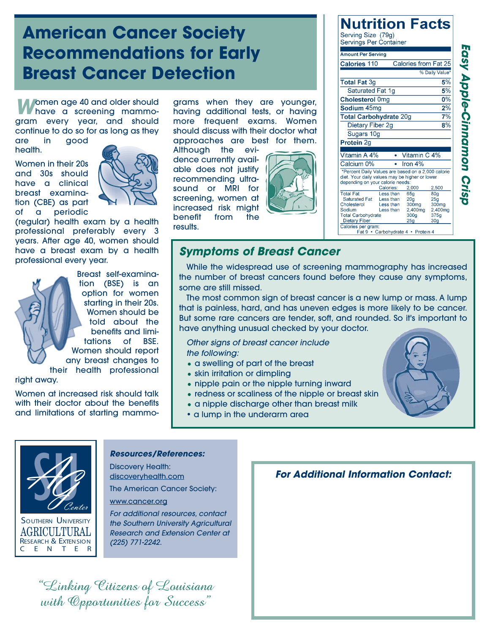### **American Cancer Society Recommendations for Early Breast Cancer Detection**

*Momen age 40 and older should* have a screening mammogram every year, and should continue to do so for as long as they

are in good health.

Women in their 20s and 30s should have a clinical breast examination (CBE) as part of a periodic



(regular) health exam by a health professional preferably every 3 years. After age 40, women should have a breast exam by a health professional every year.

> Breast self-examination (BSE) is an option for women starting in their 20s. Women should be told about the benefits and limitations of BSE. Women should report any breast changes to their health professional

right away.

Women at increased risk should talk with their doctor about the benefits and limitations of starting mammograms when they are younger, having additional tests, or having more frequent exams. Women should discuss with their doctor what approaches are best for them.

Although the evidence currently available does not justify recommending ultrasound or MRI for screening, women at increased risk might benefit from the results.



#### **Nutrition Facts** Serving Size (79g) Servings Per Container **Amount Per Serving**

| <b>Calories 110</b>                                                                                                                                                     |                        |                        | Calories from Fat 25 |
|-------------------------------------------------------------------------------------------------------------------------------------------------------------------------|------------------------|------------------------|----------------------|
|                                                                                                                                                                         |                        |                        | % Daily Value*       |
| <b>Total Fat 3g</b>                                                                                                                                                     |                        |                        | 5%                   |
| Saturated Fat 1q                                                                                                                                                        |                        |                        | 5%                   |
| <b>Cholesterol Omg</b>                                                                                                                                                  |                        | $0\%$                  |                      |
| Sodium 45mg                                                                                                                                                             |                        |                        | 2%                   |
| 7%<br><b>Total Carbohydrate 20g</b>                                                                                                                                     |                        |                        |                      |
| Dietary Fiber 2g                                                                                                                                                        |                        |                        | 8%                   |
| Sugars 10g                                                                                                                                                              |                        |                        |                      |
| Protein 2g                                                                                                                                                              |                        |                        |                      |
|                                                                                                                                                                         |                        |                        |                      |
| Vitamin A 4%                                                                                                                                                            |                        | Vitamin C 4%           |                      |
| Calcium 0%                                                                                                                                                              |                        | Iron $4\%$             |                      |
| *Percent Daily Values are based on a 2,000 calorie<br>diet. Your daily values may be higher or lower<br>depending on your calorie needs:<br>Calories:<br>2.000<br>2,500 |                        |                        |                      |
| <b>Total Fat</b><br><b>Saturated Fat</b>                                                                                                                                | Less than<br>Less than | 65a<br>20 <sub>a</sub> | 80a                  |
| Cholesterol                                                                                                                                                             | Less than              | 300mg                  | 25g<br>300mg         |
| Sodium                                                                                                                                                                  | Less than              | 2,400mg                | 2,400mg              |
| <b>Total Carbohydrate</b>                                                                                                                                               |                        | 300g                   | 375q                 |
| <b>Dietary Fiber</b>                                                                                                                                                    |                        | 25g                    | 30 <sub>q</sub>      |
| Calories per gram:<br>Fat 9 · Carbohydrate 4 · Protein 4                                                                                                                |                        |                        |                      |

#### *Symptoms of Breast Cancer*

While the widespread use of screening mammography has increased the number of breast cancers found before they cause any symptoms, some are still missed.

The most common sign of breast cancer is a new lump or mass. A lump that is painless, hard, and has uneven edges is more likely to be cancer. But some rare cancers are tender, soft, and rounded. So it's important to have anything unusual checked by your doctor.

*Other signs of breast cancer include the following:* 

- a swelling of part of the breast
- skin irritation or dimpling
- nipple pain or the nipple turning inward
- redness or scaliness of the nipple or breast skin
- a nipple discharge other than breast milk
- a lump in the underarm area



#### *Resources/References:*

Discovery Health: discoveryhealth.com The American Cancer Society:

www.cancer.org

*For additional resources, contact the Southern University Agricultural Research and Extension Center at (225) 771-2242.*

"Linking Citizens of Louisiana with Capartunities for Success"

*For Additional Information Contact:*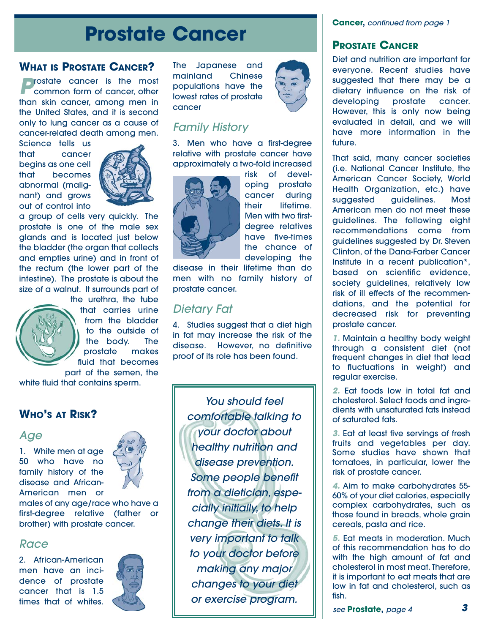## **Prostate Cancer**

#### **WHAT IS PROSTATE CANCER?**

*Prostate* cancer is the most common form of cancer, other than skin cancer, among men in the United States, and it is second only to lung cancer as a cause of cancer-related death among men.

Science tells us that cancer begins as one cell that becomes abnormal (malignant) and grows out of control into



a group of cells very quickly. The prostate is one of the male sex glands and is located just below the bladder (the organ that collects and empties urine) and in front of the rectum (the lower part of the intestine). The prostate is about the size of a walnut. It surrounds part of



the urethra, the tube that carries urine from the bladder to the outside of the body. The prostate makes fluid that becomes

part of the semen, the white fluid that contains sperm.

#### **WHO'S AT RISK?**

#### *Age*

1. White men at age 50 who have no family history of the disease and African-American men or



males of any age/race who have a first-degree relative (father or brother) with prostate cancer.

#### *Race*

2. African-American men have an incidence of prostate cancer that is 1.5 times that of whites.



The Japanese and mainland Chinese populations have the lowest rates of prostate cancer



#### *Family History*

3. Men who have a first-degree relative with prostate cancer have approximately a two-fold increased



risk of developing prostate cancer during their lifetime. Men with two firstdegree relatives have five-times the chance of developing the

disease in their lifetime than do men with no family history of prostate cancer.

#### *Dietary Fat*

4. Studies suggest that a diet high in fat may increase the risk of the disease. However, no definitive proof of its role has been found.

> *You should feel comfortable talking to your doctor about healthy nutrition and disease prevention. Some people benefit from a dietician, especially initially, to help change their diets. It is very important to talk to your doctor before making any major changes to your diet or exercise program.*

**Cancer,** *continued from page 1*

#### **PROSTATE CANCER**

Diet and nutrition are important for everyone. Recent studies have suggested that there may be a dietary influence on the risk of developing prostate cancer. However, this is only now being evaluated in detail, and we will have more information in the future.

That said, many cancer societies (i.e. National Cancer Institute, the American Cancer Society, World Health Organization, etc.) have suggested guidelines. Most American men do not meet these guidelines. The following eight recommendations come from guidelines suggested by Dr. Steven Clinton, of the Dana-Farber Cancer Institute in a recent publication\*, based on scientific evidence, society quidelines, relatively low risk of ill effects of the recommendations, and the potential for decreased risk for preventing prostate cancer.

*1.* Maintain a healthy body weight through a consistent diet (not frequent changes in diet that lead to fluctuations in weight) and regular exercise.

*2.* Eat foods low in total fat and cholesterol. Select foods and ingredients with unsaturated fats instead of saturated fats.

*3.* Eat at least five servings of fresh fruits and vegetables per day. Some studies have shown that tomatoes, in particular, lower the risk of prostate cancer.

*4.* Aim to make carbohydrates 55- 60% of your diet calories, especially complex carbohydrates, such as those found in breads, whole grain cereals, pasta and rice.

*5.* Eat meats in moderation. Much of this recommendation has to do with the high amount of fat and cholesterol in most meat. Therefore, it is important to eat meats that are low in fat and cholesterol, such as fish.

*see* **Prostate,** *page 4*